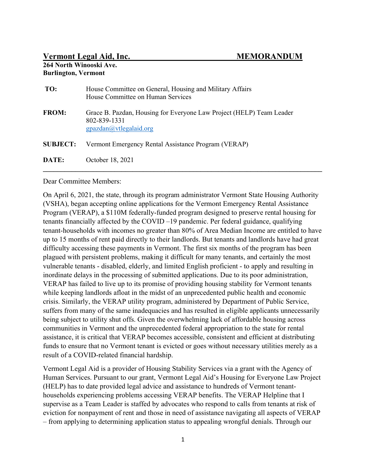## Vermont Legal Aid, Inc. MEMORANDUM

## 264 North Winooski Ave. Burlington, Vermont

| TO:             | House Committee on General, Housing and Military Affairs<br>House Committee on Human Services                                                       |
|-----------------|-----------------------------------------------------------------------------------------------------------------------------------------------------|
| <b>FROM:</b>    | Grace B. Pazdan, Housing for Everyone Law Project (HELP) Team Leader<br>802-839-1331<br>$\frac{gpazdan(a)vtlegalaid.org}{gpazdan(a)vtlegalaid.org}$ |
| <b>SUBJECT:</b> | Vermont Emergency Rental Assistance Program (VERAP)                                                                                                 |
| DATE:           | October 18, 2021                                                                                                                                    |

#### Dear Committee Members:

On April 6, 2021, the state, through its program administrator Vermont State Housing Authority (VSHA), began accepting online applications for the Vermont Emergency Rental Assistance Program (VERAP), a \$110M federally-funded program designed to preserve rental housing for tenants financially affected by the COVID –19 pandemic. Per federal guidance, qualifying tenant-households with incomes no greater than 80% of Area Median Income are entitled to have up to 15 months of rent paid directly to their landlords. But tenants and landlords have had great difficulty accessing these payments in Vermont. The first six months of the program has been plagued with persistent problems, making it difficult for many tenants, and certainly the most vulnerable tenants - disabled, elderly, and limited English proficient - to apply and resulting in inordinate delays in the processing of submitted applications. Due to its poor administration, VERAP has failed to live up to its promise of providing housing stability for Vermont tenants while keeping landlords afloat in the midst of an unprecedented public health and economic crisis. Similarly, the VERAP utility program, administered by Department of Public Service, suffers from many of the same inadequacies and has resulted in eligible applicants unnecessarily being subject to utility shut offs. Given the overwhelming lack of affordable housing across communities in Vermont and the unprecedented federal appropriation to the state for rental assistance, it is critical that VERAP becomes accessible, consistent and efficient at distributing funds to ensure that no Vermont tenant is evicted or goes without necessary utilities merely as a result of a COVID-related financial hardship.

Vermont Legal Aid is a provider of Housing Stability Services via a grant with the Agency of Human Services. Pursuant to our grant, Vermont Legal Aid's Housing for Everyone Law Project (HELP) has to date provided legal advice and assistance to hundreds of Vermont tenanthouseholds experiencing problems accessing VERAP benefits. The VERAP Helpline that I supervise as a Team Leader is staffed by advocates who respond to calls from tenants at risk of eviction for nonpayment of rent and those in need of assistance navigating all aspects of VERAP – from applying to determining application status to appealing wrongful denials. Through our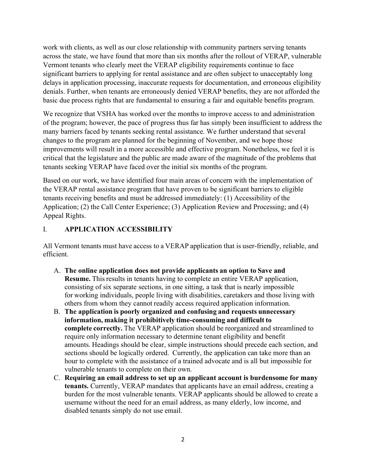work with clients, as well as our close relationship with community partners serving tenants across the state, we have found that more than six months after the rollout of VERAP, vulnerable Vermont tenants who clearly meet the VERAP eligibility requirements continue to face significant barriers to applying for rental assistance and are often subject to unacceptably long delays in application processing, inaccurate requests for documentation, and erroneous eligibility denials. Further, when tenants are erroneously denied VERAP benefits, they are not afforded the basic due process rights that are fundamental to ensuring a fair and equitable benefits program.

We recognize that VSHA has worked over the months to improve access to and administration of the program; however, the pace of progress thus far has simply been insufficient to address the many barriers faced by tenants seeking rental assistance. We further understand that several changes to the program are planned for the beginning of November, and we hope those improvements will result in a more accessible and effective program. Nonetheless, we feel it is critical that the legislature and the public are made aware of the magnitude of the problems that tenants seeking VERAP have faced over the initial six months of the program.

Based on our work, we have identified four main areas of concern with the implementation of the VERAP rental assistance program that have proven to be significant barriers to eligible tenants receiving benefits and must be addressed immediately: (1) Accessibility of the Application; (2) the Call Center Experience; (3) Application Review and Processing; and (4) Appeal Rights.

# I. APPLICATION ACCESSIBILITY

All Vermont tenants must have access to a VERAP application that is user-friendly, reliable, and efficient.  

- A. The online application does not provide applicants an option to Save and Resume. This results in tenants having to complete an entire VERAP application, consisting of six separate sections, in one sitting, a task that is nearly impossible for working individuals, people living with disabilities, caretakers and those living with others from whom they cannot readily access required application information.
- B. The application is poorly organized and confusing and requests unnecessary information, making it prohibitively time-consuming and difficult to complete correctly. The VERAP application should be reorganized and streamlined to require only information necessary to determine tenant eligibility and benefit amounts. Headings should be clear, simple instructions should precede each section, and sections should be logically ordered.  Currently, the application can take more than an hour to complete with the assistance of a trained advocate and is all but impossible for vulnerable tenants to complete on their own.
- C. Requiring an email address to set up an applicant account is burdensome for many tenants. Currently, VERAP mandates that applicants have an email address, creating a burden for the most vulnerable tenants. VERAP applicants should be allowed to create a username without the need for an email address, as many elderly, low income, and disabled tenants simply do not use email.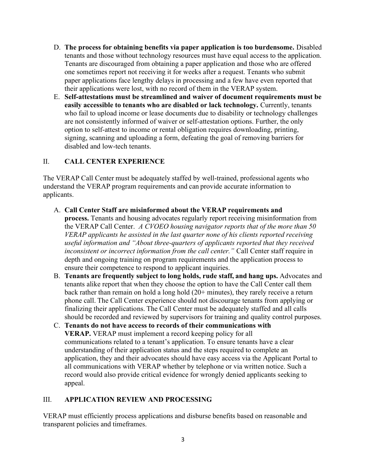- D. The process for obtaining benefits via paper application is too burdensome. Disabled tenants and those without technology resources must have equal access to the application. Tenants are discouraged from obtaining a paper application and those who are offered one sometimes report not receiving it for weeks after a request. Tenants who submit paper applications face lengthy delays in processing and a few have even reported that their applications were lost, with no record of them in the VERAP system.
- E. Self-attestations must be streamlined and waiver of document requirements must be easily accessible to tenants who are disabled or lack technology. Currently, tenants who fail to upload income or lease documents due to disability or technology challenges are not consistently informed of waiver or self-attestation options. Further, the only option to self-attest to income or rental obligation requires downloading, printing, signing, scanning and uploading a form, defeating the goal of removing barriers for disabled and low-tech tenants.

# II. CALL CENTER EXPERIENCE

The VERAP Call Center must be adequately staffed by well-trained, professional agents who understand the VERAP program requirements and can provide accurate information to applicants. 

A. Call Center Staff are misinformed about the VERAP requirements and

process. Tenants and housing advocates regularly report receiving misinformation from the VERAP Call Center.  $A$  CVOEO housing navigator reports that of the more than 50 VERAP applicants he assisted in the last quarter none of his clients reported receiving useful information and "About three-quarters of applicants reported that they received inconsistent or incorrect information from the call center." Call Center staff require in depth and ongoing training on program requirements and the application process to ensure their competence to respond to applicant inquiries.

- B. Tenants are frequently subject to long holds, rude staff, and hang ups. Advocates and tenants alike report that when they choose the option to have the Call Center call them back rather than remain on hold a long hold (20+ minutes), they rarely receive a return phone call. The Call Center experience should not discourage tenants from applying or finalizing their applications. The Call Center must be adequately staffed and all calls should be recorded and reviewed by supervisors for training and quality control purposes.
- C. Tenants do not have access to records of their communications with VERAP. VERAP must implement a record keeping policy for all communications related to a tenant's application. To ensure tenants have a clear understanding of their application status and the steps required to complete an application, they and their advocates should have easy access via the Applicant Portal to all communications with VERAP whether by telephone or via written notice. Such a record would also provide critical evidence for wrongly denied applicants seeking to appeal.

# III. APPLICATION REVIEW AND PROCESSING

VERAP must efficiently process applications and disburse benefits based on reasonable and transparent policies and timeframes.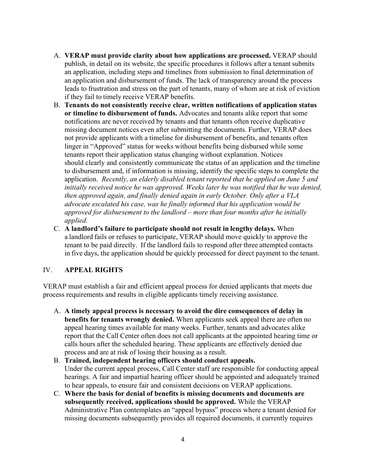- A. VERAP must provide clarity about how applications are processed. VERAP should publish, in detail on its website, the specific procedures it follows after a tenant submits an application, including steps and timelines from submission to final determination of an application and disbursement of funds. The lack of transparency around the process leads to frustration and stress on the part of tenants, many of whom are at risk of eviction if they fail to timely receive VERAP benefits.
- B. Tenants do not consistently receive clear, written notifications of application status or timeline to disbursement of funds. Advocates and tenants alike report that some notifications are never received by tenants and that tenants often receive duplicative missing document notices even after submitting the documents. Further, VERAP does not provide applicants with a timeline for disbursement of benefits, and tenants often linger in "Approved" status for weeks without benefits being disbursed while some tenants report their application status changing without explanation. Notices should clearly and consistently communicate the status of an application and the timeline to disbursement and, if information is missing, identify the specific steps to complete the application. Recently, an elderly disabled tenant reported that he applied on June 5 and initially received notice he was approved. Weeks later he was notified that he was denied, then approved again, and finally denied again in early October. Only after a VLA advocate escalated his case, was he finally informed that his application would be approved for disbursement to the landlord – more than four months after he initially applied.
- C. A landlord's failure to participate should not result in lengthy delays. When a landlord fails or refuses to participate, VERAP should move quickly to approve the tenant to be paid directly.  If the landlord fails to respond after three attempted contacts in five days, the application should be quickly processed for direct payment to the tenant.

# IV. APPEAL RIGHTS

VERAP must establish a fair and efficient appeal process for denied applicants that meets due process requirements and results in eligible applicants timely receiving assistance.

- A. A timely appeal process is necessary to avoid the dire consequences of delay in benefits for tenants wrongly denied. When applicants seek appeal there are often no appeal hearing times available for many weeks. Further, tenants and advocates alike report that the Call Center often does not call applicants at the appointed hearing time or calls hours after the scheduled hearing. These applicants are effectively denied due process and are at risk of losing their housing as a result.
- B. Trained, independent hearing officers should conduct appeals. Under the current appeal process, Call Center staff are responsible for conducting appeal hearings. A fair and impartial hearing officer should be appointed and adequately trained to hear appeals, to ensure fair and consistent decisions on VERAP applications.
- C. Where the basis for denial of benefits is missing documents and documents are subsequently received, applications should be approved. While the VERAP Administrative Plan contemplates an "appeal bypass" process where a tenant denied for missing documents subsequently provides all required documents, it currently requires